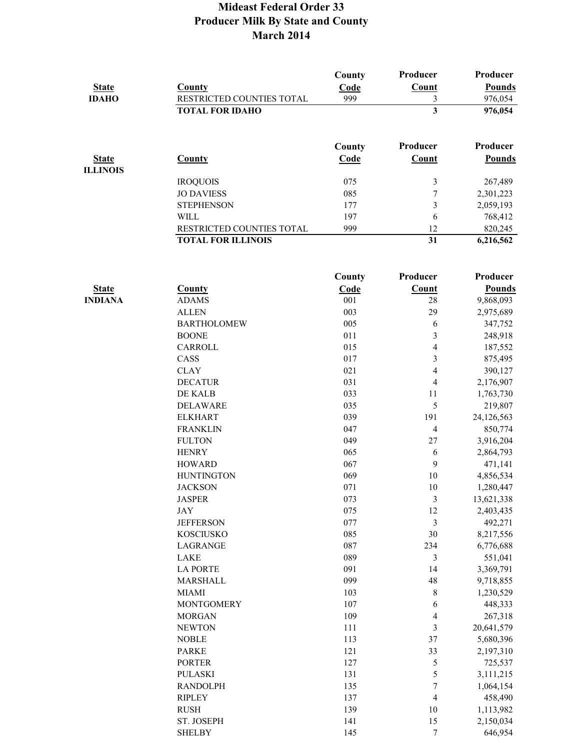| <b>State</b><br><b>IDAHO</b>    | <b>County</b><br>RESTRICTED COUNTIES TOTAL             | County<br>Code<br>999 | Producer<br><b>Count</b><br>3 | Producer<br><b>Pounds</b><br>976,054 |
|---------------------------------|--------------------------------------------------------|-----------------------|-------------------------------|--------------------------------------|
|                                 | <b>TOTAL FOR IDAHO</b>                                 |                       | $\overline{\mathbf{3}}$       | 976,054                              |
|                                 |                                                        | County                | Producer                      | Producer                             |
| <b>State</b><br><b>ILLINOIS</b> | <b>County</b>                                          | Code                  | Count                         | <b>Pounds</b>                        |
|                                 | <b>IROQUOIS</b>                                        | 075                   | 3                             | 267,489                              |
|                                 | <b>JO DAVIESS</b>                                      | 085                   | 7                             | 2,301,223                            |
|                                 | <b>STEPHENSON</b>                                      | 177                   | $\mathfrak{Z}$                | 2,059,193                            |
|                                 | <b>WILL</b>                                            | 197                   | 6                             | 768,412                              |
|                                 | RESTRICTED COUNTIES TOTAL<br><b>TOTAL FOR ILLINOIS</b> | 999                   | 12<br>31                      | 820,245<br>6,216,562                 |
|                                 |                                                        |                       |                               |                                      |
|                                 |                                                        | County                | Producer                      | Producer                             |
| <b>State</b>                    | <b>County</b>                                          | Code                  | Count                         | <b>Pounds</b>                        |
| <b>INDIANA</b>                  | <b>ADAMS</b>                                           | 001                   | 28                            | 9,868,093                            |
|                                 | <b>ALLEN</b>                                           | 003                   | 29                            | 2,975,689                            |
|                                 | <b>BARTHOLOMEW</b>                                     | 005                   | 6                             | 347,752                              |
|                                 | <b>BOONE</b>                                           | 011                   | 3                             | 248,918                              |
|                                 | CARROLL                                                | 015                   | 4                             | 187,552                              |
|                                 | CASS                                                   | 017                   | 3                             | 875,495                              |
|                                 | <b>CLAY</b>                                            | 021                   | 4                             | 390,127                              |
|                                 | <b>DECATUR</b>                                         | 031                   | $\overline{4}$                | 2,176,907                            |
|                                 | DE KALB                                                | 033                   | 11                            | 1,763,730                            |
|                                 | <b>DELAWARE</b>                                        | 035                   | 5                             | 219,807                              |
|                                 | <b>ELKHART</b>                                         | 039                   | 191                           | 24,126,563                           |
|                                 | <b>FRANKLIN</b>                                        | 047                   | $\overline{4}$                | 850,774                              |
|                                 | <b>FULTON</b>                                          | 049                   | 27                            | 3,916,204                            |
|                                 | <b>HENRY</b>                                           | 065                   | 6                             | 2,864,793                            |
|                                 | <b>HOWARD</b>                                          | 067                   | 9                             | 471,141                              |
|                                 | <b>HUNTINGTON</b>                                      | 069                   | 10                            | 4,856,534                            |
|                                 | <b>JACKSON</b>                                         | 071                   | 10                            | 1,280,447                            |
|                                 | <b>JASPER</b>                                          | 073<br>075            | $\sqrt{3}$                    | 13,621,338                           |
|                                 | JAY                                                    | 077                   | 12                            | 2,403,435                            |
|                                 | <b>JEFFERSON</b>                                       | 085                   | $\mathfrak{Z}$<br>$30\,$      | 492,271                              |
|                                 | <b>KOSCIUSKO</b>                                       | 087                   |                               | 8,217,556                            |
|                                 | LAGRANGE<br>LAKE                                       | 089                   | 234<br>$\mathfrak{Z}$         | 6,776,688<br>551,041                 |
|                                 | <b>LA PORTE</b>                                        | 091                   | 14                            | 3,369,791                            |
|                                 | MARSHALL                                               | 099                   | 48                            | 9,718,855                            |
|                                 | <b>MIAMI</b>                                           | 103                   | 8                             | 1,230,529                            |
|                                 | <b>MONTGOMERY</b>                                      | 107                   | 6                             | 448,333                              |
|                                 | <b>MORGAN</b>                                          | 109                   | 4                             | 267,318                              |
|                                 | <b>NEWTON</b>                                          | 111                   | $\mathfrak{Z}$                | 20,641,579                           |
|                                 | <b>NOBLE</b>                                           | 113                   | 37                            | 5,680,396                            |
|                                 | <b>PARKE</b>                                           | 121                   | 33                            | 2,197,310                            |
|                                 | <b>PORTER</b>                                          | 127                   | 5                             | 725,537                              |
|                                 | <b>PULASKI</b>                                         | 131                   | 5                             | 3,111,215                            |
|                                 | <b>RANDOLPH</b>                                        | 135                   | $\sqrt{ }$                    | 1,064,154                            |
|                                 | <b>RIPLEY</b>                                          | 137                   | $\overline{\mathbf{4}}$       | 458,490                              |
|                                 | <b>RUSH</b>                                            | 139                   | 10                            | 1,113,982                            |
|                                 | ST. JOSEPH                                             | 141                   | 15                            | 2,150,034                            |
|                                 | <b>SHELBY</b>                                          | 145                   | 7                             | 646,954                              |
|                                 |                                                        |                       |                               |                                      |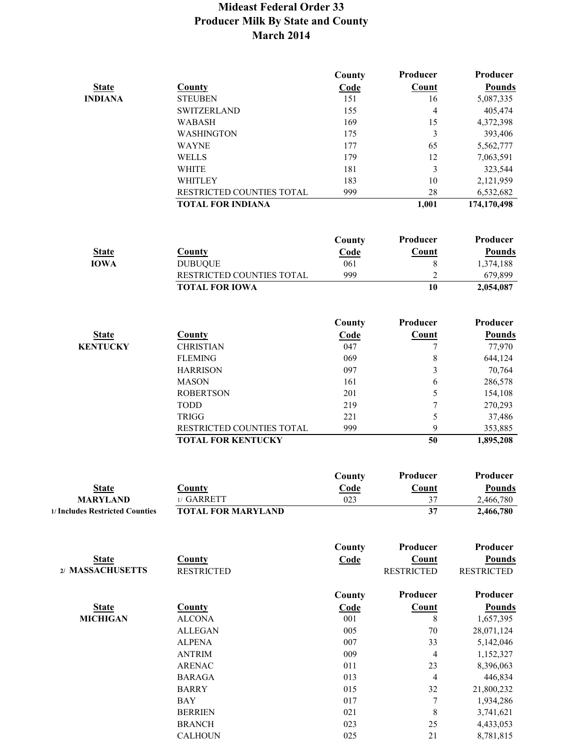|                                 |                                                        | County | Producer          | Producer               |
|---------------------------------|--------------------------------------------------------|--------|-------------------|------------------------|
| <b>State</b>                    | County                                                 | Code   | Count             | <b>Pounds</b>          |
| <b>INDIANA</b>                  | <b>STEUBEN</b>                                         | 151    | 16                | 5,087,335              |
|                                 | <b>SWITZERLAND</b>                                     | 155    | 4                 | 405,474                |
|                                 | <b>WABASH</b>                                          | 169    | 15                | 4,372,398              |
|                                 | <b>WASHINGTON</b>                                      | 175    | 3                 | 393,406                |
|                                 | <b>WAYNE</b>                                           | 177    | 65                | 5,562,777              |
|                                 | <b>WELLS</b>                                           | 179    | 12                | 7,063,591              |
|                                 | <b>WHITE</b>                                           | 181    | $\overline{3}$    | 323,544                |
|                                 | WHITLEY                                                | 183    | 10                | 2,121,959              |
|                                 | RESTRICTED COUNTIES TOTAL                              | 999    | 28                | 6,532,682              |
|                                 | <b>TOTAL FOR INDIANA</b>                               |        | 1,001             | 174,170,498            |
|                                 |                                                        |        |                   |                        |
|                                 |                                                        | County | Producer          | Producer               |
| <b>State</b>                    | County                                                 | Code   | Count             | <b>Pounds</b>          |
| <b>IOWA</b>                     | <b>DUBUQUE</b>                                         | 061    | 8                 | 1,374,188              |
|                                 | RESTRICTED COUNTIES TOTAL                              | 999    | $\overline{c}$    | 679,899                |
|                                 | <b>TOTAL FOR IOWA</b>                                  |        | $\overline{10}$   | $\overline{2,}054,087$ |
|                                 |                                                        |        |                   |                        |
|                                 |                                                        | County | Producer          | Producer               |
| <b>State</b>                    | <b>County</b>                                          | Code   | <b>Count</b>      | <b>Pounds</b>          |
| <b>KENTUCKY</b>                 | <b>CHRISTIAN</b>                                       | 047    | $\overline{7}$    | 77,970                 |
|                                 | <b>FLEMING</b>                                         | 069    | 8                 | 644,124                |
|                                 | <b>HARRISON</b>                                        | 097    | 3                 | 70,764                 |
|                                 | <b>MASON</b>                                           | 161    | 6                 | 286,578                |
|                                 | <b>ROBERTSON</b>                                       | 201    | 5                 | 154,108                |
|                                 | <b>TODD</b>                                            | 219    | $\overline{7}$    |                        |
|                                 |                                                        | 221    |                   | 270,293                |
|                                 | <b>TRIGG</b>                                           | 999    | 5<br>9            | 37,486                 |
|                                 | RESTRICTED COUNTIES TOTAL<br><b>TOTAL FOR KENTUCKY</b> |        | 50                | 353,885                |
|                                 |                                                        |        |                   | 1,895,208              |
|                                 |                                                        | County | Producer          | Producer               |
| <b>State</b>                    | County                                                 | Code   | Count             | <b>Pounds</b>          |
| <b>MARYLAND</b>                 | 1/ GARRETT                                             | 023    | 37                | 2,466,780              |
| 1/ Includes Restricted Counties | <b>TOTAL FOR MARYLAND</b>                              |        | 37                | 2,466,780              |
|                                 |                                                        |        |                   |                        |
|                                 |                                                        | County | Producer          | Producer               |
| <b>State</b>                    | <b>County</b>                                          | Code   | <b>Count</b>      | <b>Pounds</b>          |
| 2/ MASSACHUSETTS                | <b>RESTRICTED</b>                                      |        | <b>RESTRICTED</b> | <b>RESTRICTED</b>      |
|                                 |                                                        | County | Producer          | Producer               |
| <b>State</b>                    | <b>County</b>                                          | Code   | Count             | <b>Pounds</b>          |
| <b>MICHIGAN</b>                 | <b>ALCONA</b>                                          | 001    | 8                 | 1,657,395              |
|                                 | <b>ALLEGAN</b>                                         | 005    | 70                | 28,071,124             |
|                                 | <b>ALPENA</b>                                          | 007    | 33                | 5,142,046              |
|                                 | <b>ANTRIM</b>                                          | 009    | 4                 | 1,152,327              |
|                                 | <b>ARENAC</b>                                          | 011    | 23                | 8,396,063              |
|                                 | <b>BARAGA</b>                                          | 013    | 4                 | 446,834                |
|                                 | <b>BARRY</b>                                           | 015    | 32                | 21,800,232             |
|                                 | <b>BAY</b>                                             | 017    | $\overline{7}$    | 1,934,286              |
|                                 | <b>BERRIEN</b>                                         | 021    | 8                 | 3,741,621              |

BRANCH 023 25 4,433,053<br>CALHOUN 025 21 8,781,815 CALHOUN 025 21 8,781,815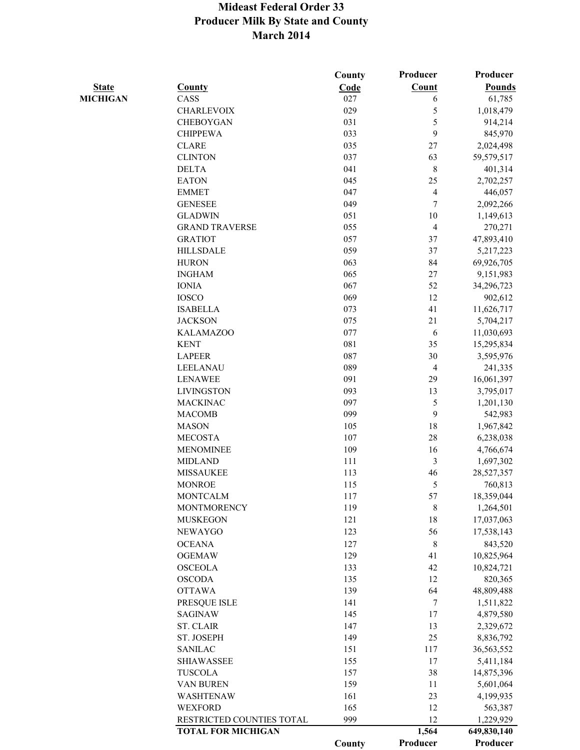|                 |                           | County | Producer | Producer      |
|-----------------|---------------------------|--------|----------|---------------|
| <b>State</b>    | <b>County</b>             | Code   | Count    | <b>Pounds</b> |
| <b>MICHIGAN</b> | CASS                      | 027    | 6        | 61,785        |
|                 | <b>CHARLEVOIX</b>         | 029    | 5        | 1,018,479     |
|                 | <b>CHEBOYGAN</b>          | 031    | 5        | 914,214       |
|                 | <b>CHIPPEWA</b>           | 033    | 9        | 845,970       |
|                 | <b>CLARE</b>              | 035    | 27       | 2,024,498     |
|                 | <b>CLINTON</b>            | 037    | 63       | 59,579,517    |
|                 | <b>DELTA</b>              | 041    | 8        | 401,314       |
|                 | <b>EATON</b>              | 045    | 25       | 2,702,257     |
|                 | <b>EMMET</b>              | 047    | 4        | 446,057       |
|                 | <b>GENESEE</b>            | 049    | 7        | 2,092,266     |
|                 | <b>GLADWIN</b>            | 051    | 10       | 1,149,613     |
|                 | <b>GRAND TRAVERSE</b>     | 055    | 4        | 270,271       |
|                 | <b>GRATIOT</b>            | 057    | 37       | 47,893,410    |
|                 | <b>HILLSDALE</b>          | 059    | 37       | 5,217,223     |
|                 | <b>HURON</b>              | 063    | 84       | 69,926,705    |
|                 | <b>INGHAM</b>             | 065    | 27       | 9,151,983     |
|                 | <b>IONIA</b>              | 067    | 52       | 34,296,723    |
|                 | <b>IOSCO</b>              | 069    | 12       | 902,612       |
|                 | <b>ISABELLA</b>           | 073    | 41       | 11,626,717    |
|                 | <b>JACKSON</b>            | 075    | 21       | 5,704,217     |
|                 | <b>KALAMAZOO</b>          | 077    | 6        | 11,030,693    |
|                 | <b>KENT</b>               | 081    | 35       | 15,295,834    |
|                 | <b>LAPEER</b>             | 087    | 30       | 3,595,976     |
|                 | LEELANAU                  | 089    | 4        | 241,335       |
|                 | <b>LENAWEE</b>            | 091    | 29       | 16,061,397    |
|                 | <b>LIVINGSTON</b>         | 093    | 13       | 3,795,017     |
|                 | <b>MACKINAC</b>           | 097    | 5        | 1,201,130     |
|                 | <b>MACOMB</b>             | 099    | 9        | 542,983       |
|                 | <b>MASON</b>              | 105    | 18       | 1,967,842     |
|                 | <b>MECOSTA</b>            | 107    | 28       | 6,238,038     |
|                 | MENOMINEE                 | 109    | 16       | 4,766,674     |
|                 | <b>MIDLAND</b>            | 111    | 3        | 1,697,302     |
|                 | <b>MISSAUKEE</b>          | 113    | 46       | 28,527,357    |
|                 | <b>MONROE</b>             | 115    | 5        | 760,813       |
|                 | <b>MONTCALM</b>           | 117    | 57       | 18,359,044    |
|                 | <b>MONTMORENCY</b>        | 119    | 8        | 1,264,501     |
|                 | <b>MUSKEGON</b>           | 121    | 18       | 17,037,063    |
|                 | <b>NEWAYGO</b>            | 123    | 56       | 17,538,143    |
|                 | <b>OCEANA</b>             | 127    | 8        | 843,520       |
|                 | <b>OGEMAW</b>             | 129    | 41       | 10,825,964    |
|                 | <b>OSCEOLA</b>            | 133    | 42       | 10,824,721    |
|                 | <b>OSCODA</b>             | 135    | 12       | 820,365       |
|                 | <b>OTTAWA</b>             | 139    | 64       | 48,809,488    |
|                 | PRESQUE ISLE              | 141    | 7        | 1,511,822     |
|                 | <b>SAGINAW</b>            | 145    | 17       | 4,879,580     |
|                 | <b>ST. CLAIR</b>          | 147    | 13       | 2,329,672     |
|                 | ST. JOSEPH                | 149    | 25       | 8,836,792     |
|                 | <b>SANILAC</b>            | 151    | 117      | 36,563,552    |
|                 | <b>SHIAWASSEE</b>         | 155    | 17       | 5,411,184     |
|                 | <b>TUSCOLA</b>            | 157    | 38       | 14,875,396    |
|                 | VAN BUREN                 | 159    | 11       | 5,601,064     |
|                 | WASHTENAW                 | 161    | 23       | 4,199,935     |
|                 | <b>WEXFORD</b>            | 165    | 12       | 563,387       |
|                 | RESTRICTED COUNTIES TOTAL | 999    | 12       | 1,229,929     |
|                 | <b>TOTAL FOR MICHIGAN</b> |        | 1,564    | 649,830,140   |
|                 |                           | County | Producer | Producer      |
|                 |                           |        |          |               |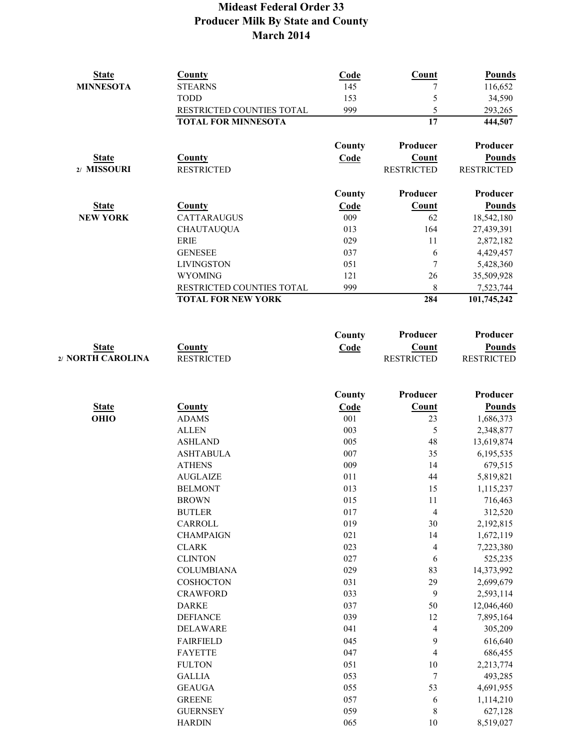| <b>State</b>      | <b>County</b>                    | Code       | <b>Count</b>             | <b>Pounds</b>        |
|-------------------|----------------------------------|------------|--------------------------|----------------------|
| <b>MINNESOTA</b>  | <b>STEARNS</b>                   | 145        | 7                        | 116,652              |
|                   | <b>TODD</b>                      | 153        | 5                        | 34,590               |
|                   | RESTRICTED COUNTIES TOTAL        | 999        | 5                        | 293,265              |
|                   | <b>TOTAL FOR MINNESOTA</b>       |            | $\overline{17}$          | 444,507              |
|                   |                                  | County     | Producer                 | Producer             |
| <b>State</b>      | <b>County</b>                    | Code       | <b>Count</b>             | <b>Pounds</b>        |
| 2/ MISSOURI       | <b>RESTRICTED</b>                |            | <b>RESTRICTED</b>        | <b>RESTRICTED</b>    |
|                   |                                  | County     | Producer                 | Producer             |
| <b>State</b>      | <b>County</b>                    | Code       | Count                    | <b>Pounds</b>        |
| <b>NEW YORK</b>   | CATTARAUGUS                      | 009        | 62                       | 18,542,180           |
|                   | <b>CHAUTAUQUA</b>                | 013        | 164                      | 27,439,391           |
|                   | <b>ERIE</b>                      | 029        | 11                       | 2,872,182            |
|                   | <b>GENESEE</b>                   | 037        | 6                        | 4,429,457            |
|                   | <b>LIVINGSTON</b>                | 051        | 7                        | 5,428,360            |
|                   | WYOMING                          | 121        | 26                       | 35,509,928           |
|                   | RESTRICTED COUNTIES TOTAL        | 999        | 8                        | 7,523,744            |
|                   | <b>TOTAL FOR NEW YORK</b>        |            | 284                      | 101,745,242          |
|                   |                                  | County     | Producer                 | Producer             |
| <b>State</b>      | <b>County</b>                    | Code       | <b>Count</b>             | <b>Pounds</b>        |
| 2/ NORTH CAROLINA | <b>RESTRICTED</b>                |            | <b>RESTRICTED</b>        | <b>RESTRICTED</b>    |
|                   |                                  |            |                          |                      |
|                   |                                  | County     | Producer                 | Producer             |
| <b>State</b>      | <b>County</b>                    | Code       | <b>Count</b>             | <b>Pounds</b>        |
| <b>OHIO</b>       | <b>ADAMS</b>                     | 001        | 23                       | 1,686,373            |
|                   | <b>ALLEN</b>                     | 003        | 5                        | 2,348,877            |
|                   | <b>ASHLAND</b>                   | 005        | 48                       | 13,619,874           |
|                   | <b>ASHTABULA</b>                 | 007        | 35                       | 6,195,535            |
|                   | <b>ATHENS</b>                    | 009        | 14                       | 679,515              |
|                   | <b>AUGLAIZE</b>                  | 011        | 44                       | 5,819,821            |
|                   | <b>BELMONT</b>                   | 013        | 15                       | 1,115,237            |
|                   | <b>BROWN</b>                     | 015        | 11                       | 716,463              |
|                   | <b>BUTLER</b>                    | 017        | $\overline{4}$           | 312,520              |
|                   | CARROLL                          | 019        | 30                       | 2,192,815            |
|                   | <b>CHAMPAIGN</b>                 | 021        | 14                       | 1,672,119            |
|                   | <b>CLARK</b>                     | 023        | 4                        | 7,223,380            |
|                   | <b>CLINTON</b>                   | 027        | 6                        | 525,235              |
|                   | <b>COLUMBIANA</b>                | 029        | 83                       | 14,373,992           |
|                   | COSHOCTON                        | 031        | 29                       | 2,699,679            |
|                   | <b>CRAWFORD</b>                  | 033        | 9                        | 2,593,114            |
|                   | <b>DARKE</b>                     | 037        | 50                       | 12,046,460           |
|                   | <b>DEFIANCE</b>                  | 039        | 12                       | 7,895,164            |
|                   | <b>DELAWARE</b>                  | 041        | $\overline{\mathcal{L}}$ | 305,209              |
|                   | <b>FAIRFIELD</b>                 | 045        | 9                        | 616,640              |
|                   | <b>FAYETTE</b>                   | 047        | $\overline{\mathbf{4}}$  | 686,455              |
|                   | <b>FULTON</b>                    | 051        | 10                       | 2,213,774            |
|                   | <b>GALLIA</b>                    | 053        | 7                        | 493,285              |
|                   | <b>GEAUGA</b>                    | 055        | 53                       | 4,691,955            |
|                   | <b>GREENE</b><br><b>GUERNSEY</b> | 057<br>059 | 6<br>8                   | 1,114,210            |
|                   | <b>HARDIN</b>                    | 065        | 10                       | 627,128<br>8,519,027 |
|                   |                                  |            |                          |                      |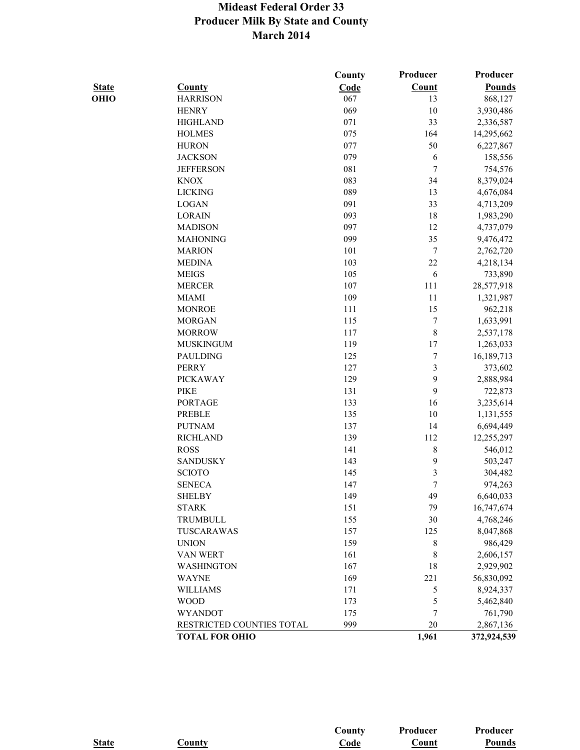|              |                           | County | Producer                | Producer      |
|--------------|---------------------------|--------|-------------------------|---------------|
| <b>State</b> | <b>County</b>             | Code   | Count                   | <b>Pounds</b> |
| OHIO         | <b>HARRISON</b>           | 067    | 13                      | 868,127       |
|              | <b>HENRY</b>              | 069    | 10                      | 3,930,486     |
|              | <b>HIGHLAND</b>           | 071    | 33                      | 2,336,587     |
|              | <b>HOLMES</b>             | 075    | 164                     | 14,295,662    |
|              | <b>HURON</b>              | 077    | 50                      | 6,227,867     |
|              | <b>JACKSON</b>            | 079    | 6                       | 158,556       |
|              | <b>JEFFERSON</b>          | 081    | 7                       | 754,576       |
|              | <b>KNOX</b>               | 083    | 34                      | 8,379,024     |
|              | <b>LICKING</b>            | 089    | 13                      | 4,676,084     |
|              | <b>LOGAN</b>              | 091    | 33                      | 4,713,209     |
|              | <b>LORAIN</b>             | 093    | 18                      | 1,983,290     |
|              | <b>MADISON</b>            | 097    | 12                      | 4,737,079     |
|              | <b>MAHONING</b>           | 099    | 35                      | 9,476,472     |
|              | <b>MARION</b>             | 101    | 7                       | 2,762,720     |
|              | <b>MEDINA</b>             | 103    | 22                      | 4,218,134     |
|              | <b>MEIGS</b>              | 105    | 6                       | 733,890       |
|              | <b>MERCER</b>             | 107    | 111                     | 28,577,918    |
|              | <b>MIAMI</b>              | 109    | 11                      | 1,321,987     |
|              | <b>MONROE</b>             | 111    | 15                      | 962,218       |
|              | <b>MORGAN</b>             | 115    | $\boldsymbol{7}$        | 1,633,991     |
|              | <b>MORROW</b>             | 117    | 8                       | 2,537,178     |
|              | <b>MUSKINGUM</b>          | 119    | 17                      | 1,263,033     |
|              | <b>PAULDING</b>           | 125    | $\boldsymbol{7}$        | 16,189,713    |
|              | <b>PERRY</b>              | 127    | $\overline{\mathbf{3}}$ | 373,602       |
|              | <b>PICKAWAY</b>           | 129    | 9                       | 2,888,984     |
|              | <b>PIKE</b>               | 131    | 9                       | 722,873       |
|              | <b>PORTAGE</b>            | 133    | 16                      | 3,235,614     |
|              | <b>PREBLE</b>             | 135    | 10                      | 1,131,555     |
|              | <b>PUTNAM</b>             | 137    | 14                      | 6,694,449     |
|              | <b>RICHLAND</b>           | 139    | 112                     | 12,255,297    |
|              | <b>ROSS</b>               | 141    | 8                       | 546,012       |
|              | <b>SANDUSKY</b>           | 143    | 9                       | 503,247       |
|              | <b>SCIOTO</b>             | 145    | 3                       | 304,482       |
|              | <b>SENECA</b>             | 147    | 7                       | 974,263       |
|              | <b>SHELBY</b>             | 149    | 49                      | 6,640,033     |
|              | <b>STARK</b>              | 151    | 79                      | 16,747,674    |
|              | <b>TRUMBULL</b>           | 155    | 30                      | 4,768,246     |
|              | TUSCARAWAS                | 157    | 125                     | 8,047,868     |
|              | <b>UNION</b>              | 159    | 8                       | 986,429       |
|              | VAN WERT                  | 161    | 8                       | 2,606,157     |
|              | WASHINGTON                | 167    | 18                      | 2,929,902     |
|              | <b>WAYNE</b>              | 169    | 221                     | 56,830,092    |
|              | <b>WILLIAMS</b>           | 171    | 5                       | 8,924,337     |
|              | <b>WOOD</b>               | 173    | 5                       | 5,462,840     |
|              | <b>WYANDOT</b>            | 175    | 7                       | 761,790       |
|              | RESTRICTED COUNTIES TOTAL | 999    | 20                      | 2,867,136     |
|              | <b>TOTAL FOR OHIO</b>     |        | 1,961                   | 372,924,539   |

|              |               | $\mathbf$ County} | Producer | Producer |
|--------------|---------------|-------------------|----------|----------|
| <b>State</b> | <b>County</b> | Code              | Count    | Pounds   |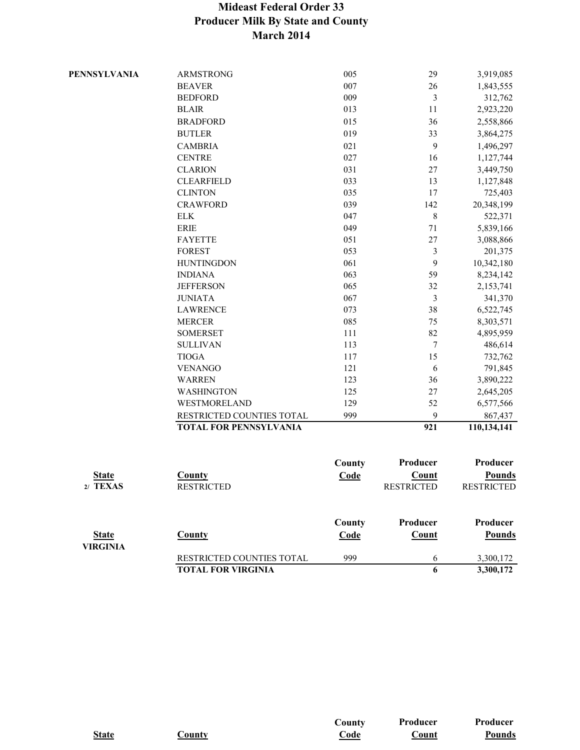|                     | <b>TOTAL FOR VIRGINIA</b>         |                | 6                 | 3,300,172                 |
|---------------------|-----------------------------------|----------------|-------------------|---------------------------|
| <b>VIRGINIA</b>     | RESTRICTED COUNTIES TOTAL         | 999            | 6                 | 3,300,172                 |
| <b>State</b>        | <b>County</b>                     | County<br>Code | Producer<br>Count | Producer<br><b>Pounds</b> |
|                     |                                   |                |                   |                           |
| 2/ TEXAS            | <b>RESTRICTED</b>                 |                | <b>RESTRICTED</b> | <b>RESTRICTED</b>         |
| <b>State</b>        | <b>County</b>                     | Code           | <b>Count</b>      | <b>Pounds</b>             |
|                     |                                   | County         | Producer          | Producer                  |
|                     |                                   |                |                   |                           |
|                     | <b>TOTAL FOR PENNSYLVANIA</b>     |                | 921               | 110,134,141               |
|                     | RESTRICTED COUNTIES TOTAL         | 999            | 9                 | 867,437                   |
|                     | WESTMORELAND                      | 129            | 52                | 6,577,566                 |
|                     | WASHINGTON                        | 125            | 27                | 2,645,205                 |
|                     | <b>WARREN</b>                     | 123            | 36                | 3,890,222                 |
|                     | <b>VENANGO</b>                    | 121            | 6                 | 791,845                   |
|                     | <b>TIOGA</b>                      | 117            | 15                | 732,762                   |
|                     | <b>SULLIVAN</b>                   | 113            | $\overline{7}$    | 486,614                   |
|                     | <b>SOMERSET</b>                   | 111            | 82                | 4,895,959                 |
|                     | <b>MERCER</b>                     | 085            | 75                | 8,303,571                 |
|                     | <b>LAWRENCE</b>                   | 073            | 38                | 6,522,745                 |
|                     | <b>JUNIATA</b>                    | 067            | $\mathfrak{Z}$    | 341,370                   |
|                     | <b>JEFFERSON</b>                  | 065            | 32                | 2,153,741                 |
|                     | <b>INDIANA</b>                    | 063            | 59                | 8,234,142                 |
|                     | <b>HUNTINGDON</b>                 | 061            | 9                 | 10,342,180                |
|                     | <b>FOREST</b>                     | 053            | 3                 | 201,375                   |
|                     | <b>FAYETTE</b>                    | 051            | $27\,$            | 3,088,866                 |
|                     | <b>ERIE</b>                       | 049            | $71\,$            | 5,839,166                 |
|                     | <b>ELK</b>                        | 047            | $\,8\,$           | 20,348,199<br>522,371     |
|                     | <b>CLINTON</b><br><b>CRAWFORD</b> | 035<br>039     | 17<br>142         | 725,403                   |
|                     | <b>CLEARFIELD</b>                 | 033            | 13                | 1,127,848                 |
|                     | <b>CLARION</b>                    | 031            | 27                | 3,449,750                 |
|                     | <b>CENTRE</b>                     | 027            | 16                | 1,127,744                 |
|                     | <b>CAMBRIA</b>                    | 021            | 9                 | 1,496,297                 |
|                     | <b>BUTLER</b>                     | 019            | 33                | 3,864,275                 |
|                     | <b>BRADFORD</b>                   | 015            | 36                | 2,558,866                 |
|                     | <b>BLAIR</b>                      | 013            | 11                | 2,923,220                 |
|                     | <b>BEDFORD</b>                    | 009            | 3                 | 312,762                   |
|                     | <b>BEAVER</b>                     | 007            | 26                | 1,843,555                 |
| <b>PENNSYLVANIA</b> | <b>ARMSTRONG</b>                  | 005            | 29                | 3,919,085                 |
|                     |                                   |                |                   |                           |

|              |               | $\mathbf{-}\text{countv}$ | Producer | <b>Producer</b> |
|--------------|---------------|---------------------------|----------|-----------------|
| <b>State</b> | <b>County</b> | Code                      | vount    | <b>Pounds</b>   |